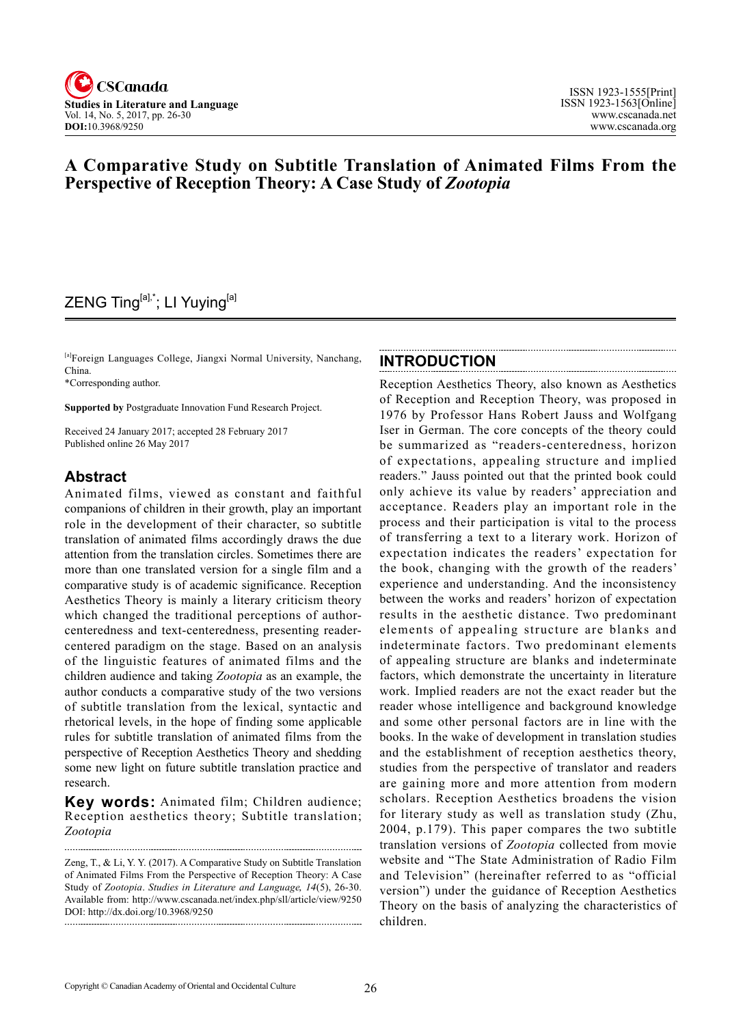

## **A Comparative Study on Subtitle Translation of Animated Films From the Perspective of Reception Theory: A Case Study of** *Zootopia*

# ZENG Ting<sup>[a],\*</sup>; LI Yuying<sup>[a]</sup>

[a]Foreign Languages College, Jiangxi Normal University, Nanchang, China.

\*Corresponding author.

**Supported by** Postgraduate Innovation Fund Research Project.

Received 24 January 2017; accepted 28 February 2017 Published online 26 May 2017

### **Abstract**

Animated films, viewed as constant and faithful companions of children in their growth, play an important role in the development of their character, so subtitle translation of animated films accordingly draws the due attention from the translation circles. Sometimes there are more than one translated version for a single film and a comparative study is of academic significance. Reception Aesthetics Theory is mainly a literary criticism theory which changed the traditional perceptions of authorcenteredness and text-centeredness, presenting readercentered paradigm on the stage. Based on an analysis of the linguistic features of animated films and the children audience and taking *Zootopia* as an example, the author conducts a comparative study of the two versions of subtitle translation from the lexical, syntactic and rhetorical levels, in the hope of finding some applicable rules for subtitle translation of animated films from the perspective of Reception Aesthetics Theory and shedding some new light on future subtitle translation practice and research.

**Key words:** Animated film; Children audience; Reception aesthetics theory; Subtitle translation; *Zootopia*

#### **INTRODUCTION**

Reception Aesthetics Theory, also known as Aesthetics of Reception and Reception Theory, was proposed in 1976 by Professor Hans Robert Jauss and Wolfgang Iser in German. The core concepts of the theory could be summarized as "readers-centeredness, horizon of expectations, appealing structure and implied readers." Jauss pointed out that the printed book could only achieve its value by readers' appreciation and acceptance. Readers play an important role in the process and their participation is vital to the process of transferring a text to a literary work. Horizon of expectation indicates the readers' expectation for the book, changing with the growth of the readers' experience and understanding. And the inconsistency between the works and readers' horizon of expectation results in the aesthetic distance. Two predominant elements of appealing structure are blanks and indeterminate factors. Two predominant elements of appealing structure are blanks and indeterminate factors, which demonstrate the uncertainty in literature work. Implied readers are not the exact reader but the reader whose intelligence and background knowledge and some other personal factors are in line with the books. In the wake of development in translation studies and the establishment of reception aesthetics theory, studies from the perspective of translator and readers are gaining more and more attention from modern scholars. Reception Aesthetics broadens the vision for literary study as well as translation study (Zhu, 2004, p.179). This paper compares the two subtitle translation versions of *Zootopia* collected from movie website and "The State Administration of Radio Film and Television" (hereinafter referred to as "official version") under the guidance of Reception Aesthetics Theory on the basis of analyzing the characteristics of children.

Zeng, T., & Li, Y. Y. (2017). A Comparative Study on Subtitle Translation of Animated Films From the Perspective of Reception Theory: A Case Study of *Zootopia*. *Studies in Literature and Language*, <sup>14</sup>(5), 26-30. Available from: http://www.cscanada.net/index.php/sll/article/view/9250 DOI: http://dx.doi.org/10.3968/9250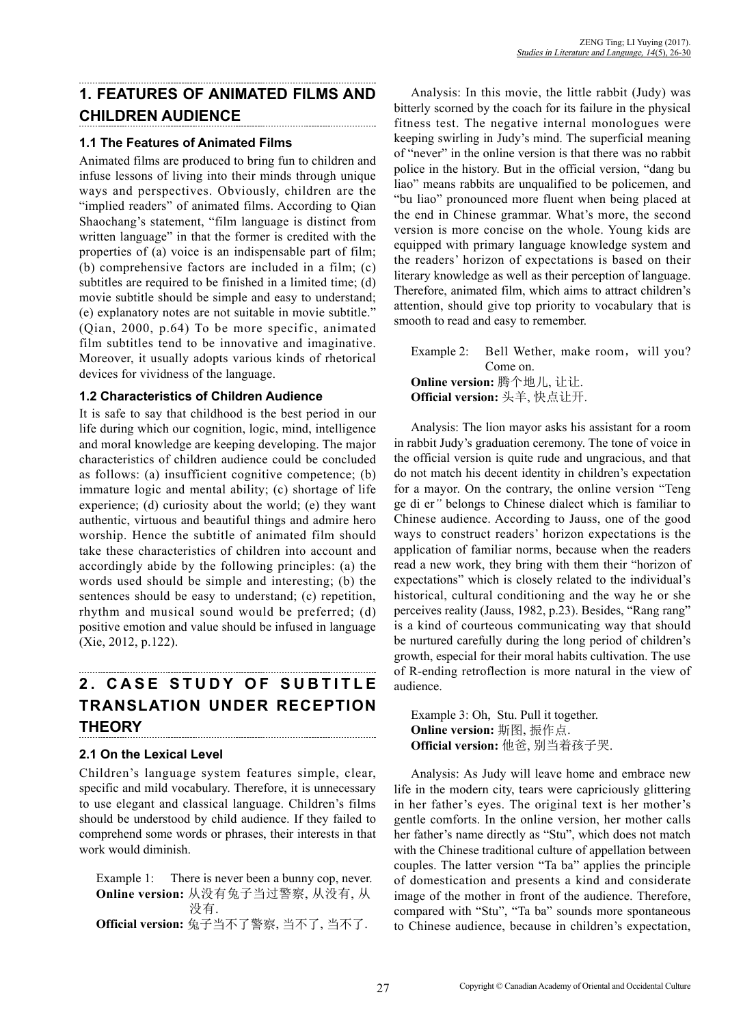# **1. FEATURES OF ANIMATED FILMS AND CHILDREN AUDIENCE**

#### **1.1 The Features of Animated Films**

Animated films are produced to bring fun to children and infuse lessons of living into their minds through unique ways and perspectives. Obviously, children are the "implied readers" of animated films. According to Qian Shaochang's statement, "film language is distinct from written language" in that the former is credited with the properties of (a) voice is an indispensable part of film; (b) comprehensive factors are included in a film; (c) subtitles are required to be finished in a limited time; (d) movie subtitle should be simple and easy to understand; (e) explanatory notes are not suitable in movie subtitle." (Qian, 2000, p.64) To be more specific, animated film subtitles tend to be innovative and imaginative. Moreover, it usually adopts various kinds of rhetorical devices for vividness of the language.

#### **1.2 Characteristics of Children Audience**

It is safe to say that childhood is the best period in our life during which our cognition, logic, mind, intelligence and moral knowledge are keeping developing. The major characteristics of children audience could be concluded as follows: (a) insufficient cognitive competence; (b) immature logic and mental ability; (c) shortage of life experience; (d) curiosity about the world; (e) they want authentic, virtuous and beautiful things and admire hero worship. Hence the subtitle of animated film should take these characteristics of children into account and accordingly abide by the following principles: (a) the words used should be simple and interesting; (b) the sentences should be easy to understand; (c) repetition, rhythm and musical sound would be preferred; (d) positive emotion and value should be infused in language (Xie, 2012, p.122).

#### **2 . C A S E S T U D Y O F S U B T I T L E TRANSLATION UNDER RECEPTION THEORY**

### **2.1 On the Lexical Level**

Children's language system features simple, clear, specific and mild vocabulary. Therefore, it is unnecessary to use elegant and classical language. Children's films should be understood by child audience. If they failed to comprehend some words or phrases, their interests in that work would diminish.

Example 1: There is never been a bunny cop, never. **Online version:** 从没有兔子当过警察, 从没有, 从 没有. **Official version:** 兔子当不了警察, 当不了, 当不了.

Analysis: In this movie, the little rabbit (Judy) was bitterly scorned by the coach for its failure in the physical fitness test. The negative internal monologues were keeping swirling in Judy's mind. The superficial meaning of "never" in the online version is that there was no rabbit police in the history. But in the official version, "dang bu liao" means rabbits are unqualified to be policemen, and "bu liao" pronounced more fluent when being placed at the end in Chinese grammar. What's more, the second version is more concise on the whole. Young kids are equipped with primary language knowledge system and the readers' horizon of expectations is based on their literary knowledge as well as their perception of language. Therefore, animated film, which aims to attract children's attention, should give top priority to vocabulary that is smooth to read and easy to remember.

Example 2: Bell Wether, make room, will you? Come on. **Online version:** 腾个地儿, 让让. **Official version:** 头羊, 快点让开.

Analysis: The lion mayor asks his assistant for a room in rabbit Judy's graduation ceremony. The tone of voice in the official version is quite rude and ungracious, and that do not match his decent identity in children's expectation for a mayor. On the contrary, the online version "Teng ge di er*"* belongs to Chinese dialect which is familiar to Chinese audience. According to Jauss, one of the good ways to construct readers' horizon expectations is the application of familiar norms, because when the readers read a new work, they bring with them their "horizon of expectations" which is closely related to the individual's historical, cultural conditioning and the way he or she perceives reality (Jauss, 1982, p.23). Besides, "Rang rang" is a kind of courteous communicating way that should be nurtured carefully during the long period of children's growth, especial for their moral habits cultivation. The use of R-ending retroflection is more natural in the view of audience.

Example 3: Oh, Stu. Pull it together. **Online version:** 斯图, 振作点. **Official version:** 他爸, 别当着孩子哭.

Analysis: As Judy will leave home and embrace new life in the modern city, tears were capriciously glittering in her father's eyes. The original text is her mother's gentle comforts. In the online version, her mother calls her father's name directly as "Stu", which does not match with the Chinese traditional culture of appellation between couples. The latter version "Ta ba" applies the principle of domestication and presents a kind and considerate image of the mother in front of the audience. Therefore, compared with "Stu", "Ta ba" sounds more spontaneous to Chinese audience, because in children's expectation,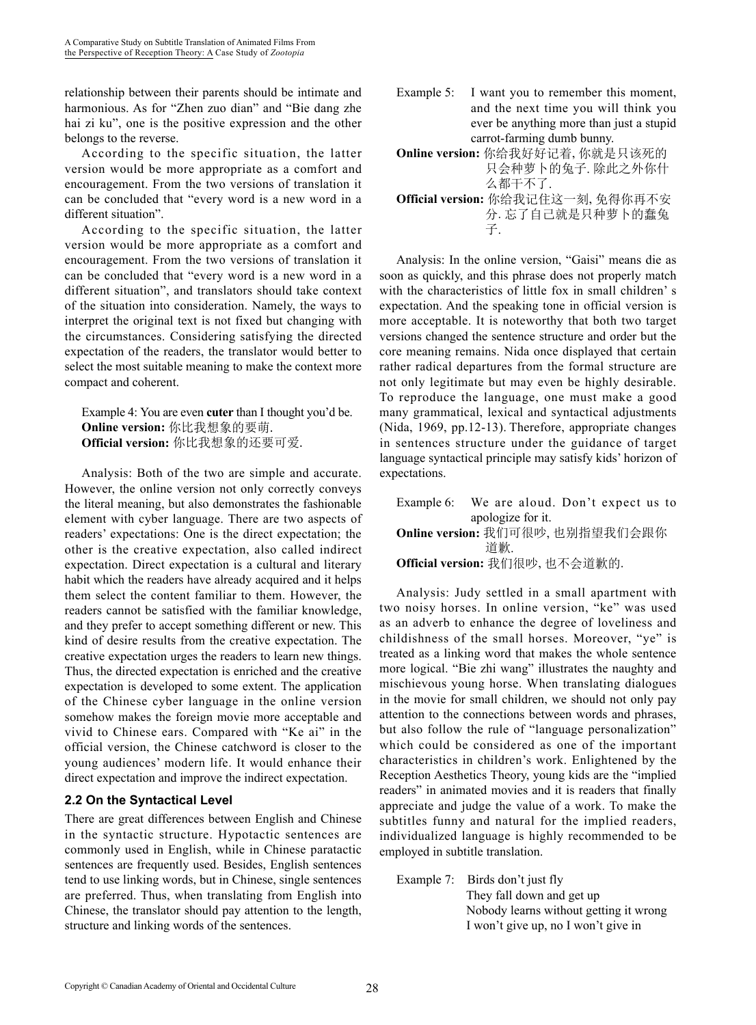relationship between their parents should be intimate and harmonious. As for "Zhen zuo dian" and "Bie dang zhe hai zi ku", one is the positive expression and the other belongs to the reverse.

According to the specific situation, the latter version would be more appropriate as a comfort and encouragement. From the two versions of translation it can be concluded that "every word is a new word in a different situation".

According to the specific situation, the latter version would be more appropriate as a comfort and encouragement. From the two versions of translation it can be concluded that "every word is a new word in a different situation", and translators should take context of the situation into consideration. Namely, the ways to interpret the original text is not fixed but changing with the circumstances. Considering satisfying the directed expectation of the readers, the translator would better to select the most suitable meaning to make the context more compact and coherent.

Example 4: You are even **cuter** than I thought you'd be. **Online version:** 你比我想象的要萌. **Official version:** 你比我想象的还要可爱.

Analysis: Both of the two are simple and accurate. However, the online version not only correctly conveys the literal meaning, but also demonstrates the fashionable element with cyber language. There are two aspects of readers' expectations: One is the direct expectation; the other is the creative expectation, also called indirect expectation. Direct expectation is a cultural and literary habit which the readers have already acquired and it helps them select the content familiar to them. However, the readers cannot be satisfied with the familiar knowledge, and they prefer to accept something different or new. This kind of desire results from the creative expectation. The creative expectation urges the readers to learn new things. Thus, the directed expectation is enriched and the creative expectation is developed to some extent. The application of the Chinese cyber language in the online version somehow makes the foreign movie more acceptable and vivid to Chinese ears. Compared with "Ke ai" in the official version, the Chinese catchword is closer to the young audiences' modern life. It would enhance their direct expectation and improve the indirect expectation.

### **2.2 On the Syntactical Level**

There are great differences between English and Chinese in the syntactic structure. Hypotactic sentences are commonly used in English, while in Chinese paratactic sentences are frequently used. Besides, English sentences tend to use linking words, but in Chinese, single sentences are preferred. Thus, when translating from English into Chinese, the translator should pay attention to the length, structure and linking words of the sentences.

- Example 5: I want you to remember this moment, and the next time you will think you ever be anything more than just a stupid carrot-farming dumb bunny.
- **Online version:** 你给我好好记着, 你就是只该死的 只会种萝卜的兔子. 除此之外你什
- 么都干不了. **Official version:** 你给我记住这一刻, 免得你再不安
- 分. 忘了自己就是只种萝卜的蠢兔 **子.**

Analysis: In the online version, "Gaisi" means die as soon as quickly, and this phrase does not properly match with the characteristics of little fox in small children' s expectation. And the speaking tone in official version is more acceptable. It is noteworthy that both two target versions changed the sentence structure and order but the core meaning remains. Nida once displayed that certain rather radical departures from the formal structure are not only legitimate but may even be highly desirable. To reproduce the language, one must make a good many grammatical, lexical and syntactical adjustments (Nida, 1969, pp.12-13). Therefore, appropriate changes in sentences structure under the guidance of target language syntactical principle may satisfy kids' horizon of expectations.

Example 6:We are aloud. Don't expect us to apologize for it. **Online version:** 我们可很吵, 也别指望我们会跟你 道歉. **Official version:** 我们很吵, 也不会道歉的.

Analysis: Judy settled in a small apartment with two noisy horses. In online version, "ke" was used as an adverb to enhance the degree of loveliness and childishness of the small horses. Moreover, "ye" is treated as a linking word that makes the whole sentence more logical. "Bie zhi wang" illustrates the naughty and mischievous young horse. When translating dialogues in the movie for small children, we should not only pay attention to the connections between words and phrases, but also follow the rule of "language personalization" which could be considered as one of the important characteristics in children's work. Enlightened by the Reception Aesthetics Theory, young kids are the "implied readers" in animated movies and it is readers that finally appreciate and judge the value of a work. To make the subtitles funny and natural for the implied readers, individualized language is highly recommended to be employed in subtitle translation.

Example 7: Birds don't just fly They fall down and get up Nobody learns without getting it wrong I won't give up, no I won't give in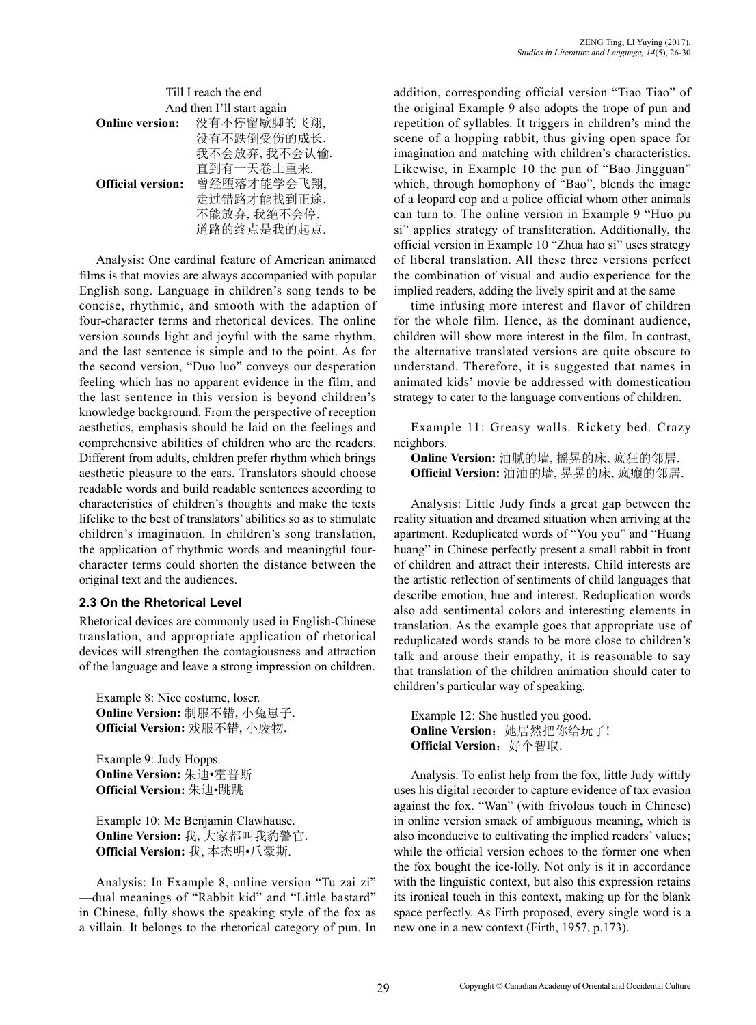|                                                  | ZENG Ting; LI Yuying (2017). |
|--------------------------------------------------|------------------------------|
| Studies in Literature and Language, 14(5), 26-30 |                              |

| Till I reach the end      |              |
|---------------------------|--------------|
| And then I'll start again |              |
| <b>Online version:</b>    | 没有不停留歇脚的飞翔,  |
|                           | 没有不跌倒受伤的成长.  |
|                           | 我不会放弃,我不会认输. |
|                           | 直到有一天卷土重来.   |
| <b>Official version:</b>  | 曾经堕落才能学会飞翔,  |
|                           | 走过错路才能找到正途.  |
|                           | 不能放弃,我绝不会停.  |
|                           | 道路的终点是我的起点.  |

Analysis: One cardinal feature of American animated films is that movies are always accompanied with popular English song. Language in children's song tends to be concise, rhythmic, and smooth with the adaption of four-character terms and rhetorical devices. The online version sounds light and joyful with the same rhythm, and the last sentence is simple and to the point. As for the second version, "Duo luo" conveys our desperation feeling which has no apparent evidence in the film, and the last sentence in this version is beyond children's knowledge background. From the perspective of reception aesthetics, emphasis should be laid on the feelings and comprehensive abilities of children who are the readers. Different from adults, children prefer rhythm which brings aesthetic pleasure to the ears. Translators should choose readable words and build readable sentences according to characteristics of children's thoughts and make the texts lifelike to the best of translators' abilities so as to stimulate children's imagination. In children's song translation, the application of rhythmic words and meaningful fourcharacter terms could shorten the distance between the original text and the audiences.

#### **2.3 On the Rhetorical Level**

Rhetorical devices are commonly used in English-Chinese translation, and appropriate application of rhetorical devices will strengthen the contagiousness and attraction of the language and leave a strong impression on children.

Example 8: Nice costume, loser. **Online Version:** 制服不错, 小兔崽子. **Official Version:** 戏服不错, 小废物.

Example 9: Judy Hopps. **Online Version:** 朱迪•霍普斯 **Official Version:** 朱迪•跳跳

Example 10: Me Benjamin Clawhause. **Online Version:** 我, 大家都叫我豹警官. **Official Version:** 我, 本杰明•爪豪斯.

Analysis: In Example 8, online version "Tu zai zi" —dual meanings of "Rabbit kid" and "Little bastard" in Chinese, fully shows the speaking style of the fox as a villain. It belongs to the rhetorical category of pun. In addition, corresponding official version "Tiao Tiao" of the original Example 9 also adopts the trope of pun and repetition of syllables. It triggers in children's mind the scene of a hopping rabbit, thus giving open space for imagination and matching with children's characteristics. Likewise, in Example 10 the pun of "Bao Jingguan" which, through homophony of "Bao", blends the image of a leopard cop and a police official whom other animals can turn to. The online version in Example 9 "Huo pu si" applies strategy of transliteration. Additionally, the official version in Example 10 "Zhua hao si" uses strategy of liberal translation. All these three versions perfect the combination of visual and audio experience for the implied readers, adding the lively spirit and at the same

time infusing more interest and flavor of children for the whole film. Hence, as the dominant audience, children will show more interest in the film. In contrast, the alternative translated versions are quite obscure to understand. Therefore, it is suggested that names in animated kids' movie be addressed with domestication strategy to cater to the language conventions of children.

Example 11: Greasy walls. Rickety bed. Crazy neighbors.

**Online Version:** 油腻的墙, 摇晃的床, 疯狂的邻居. **Official Version:** 油油的墙, 晃晃的床, 疯癫的邻居.

Analysis: Little Judy finds a great gap between the reality situation and dreamed situation when arriving at the apartment. Reduplicated words of "You you" and "Huang huang" in Chinese perfectly present a small rabbit in front of children and attract their interests. Child interests are the artistic reflection of sentiments of child languages that describe emotion, hue and interest. Reduplication words also add sentimental colors and interesting elements in translation. As the example goes that appropriate use of reduplicated words stands to be more close to children's talk and arouse their empathy, it is reasonable to say that translation of the children animation should cater to children's particular way of speaking.

Example 12: She hustled you good. **Online Version**:她居然把你给玩了! **Official Version:** 好个智取.

Analysis: To enlist help from the fox, little Judy wittily uses his digital recorder to capture evidence of tax evasion against the fox. "Wan" (with frivolous touch in Chinese) in online version smack of ambiguous meaning, which is also inconducive to cultivating the implied readers' values; while the official version echoes to the former one when the fox bought the ice-lolly. Not only is it in accordance with the linguistic context, but also this expression retains its ironical touch in this context, making up for the blank space perfectly. As Firth proposed, every single word is a new one in a new context (Firth, 1957, p.173).